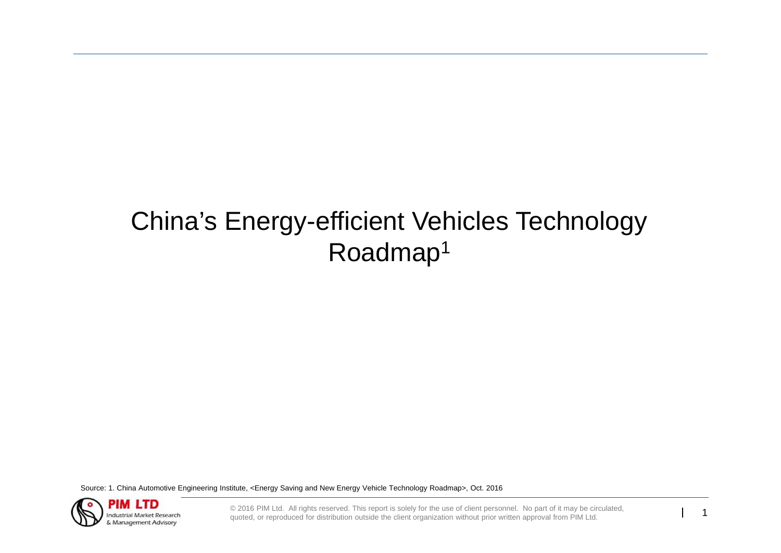# China's Energy-efficient Vehicles Technology Roadmap1

Source: 1. China Automotive Engineering Institute, <Energy Saving and New Energy Vehicle Technology Roadmap>, Oct. 2016

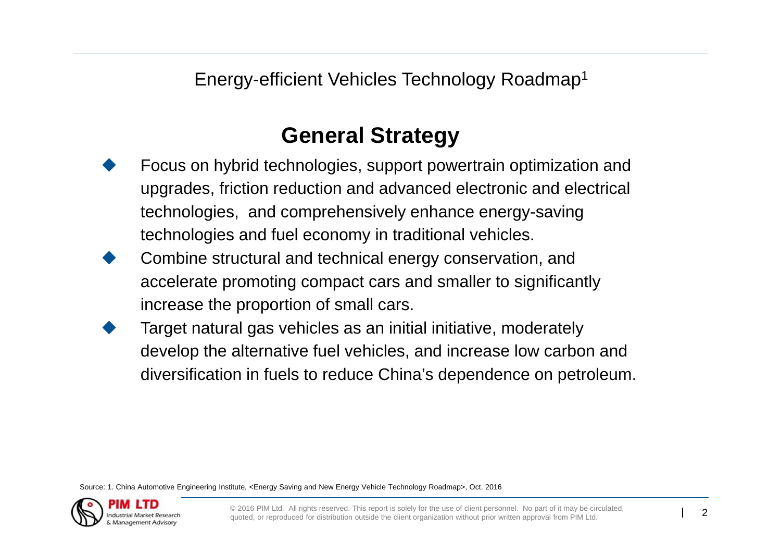Energy-efficient Vehicles Technology Roadmap1

# **General Strategy**

- ♦ Focus on hybrid technologies, support powertrain optimization and upgrades, friction reduction and advanced electronic and electrical technologies, and comprehensively enhance energy-saving technologies and fuel economy in traditional vehicles.
- $\blacklozenge$  Combine structural and technical energy conservation, and accelerate promoting compact cars and smaller to significantly increase the proportion of small cars.
- $\blacklozenge$  Target natural gas vehicles as an initial initiative, moderately develop the alternative fuel vehicles, and increase low carbon and diversification in fuels to reduce China's dependence on petroleum.

Source: 1. China Automotive Engineering Institute, <Energy Saving and New Energy Vehicle Technology Roadmap>, Oct. 2016

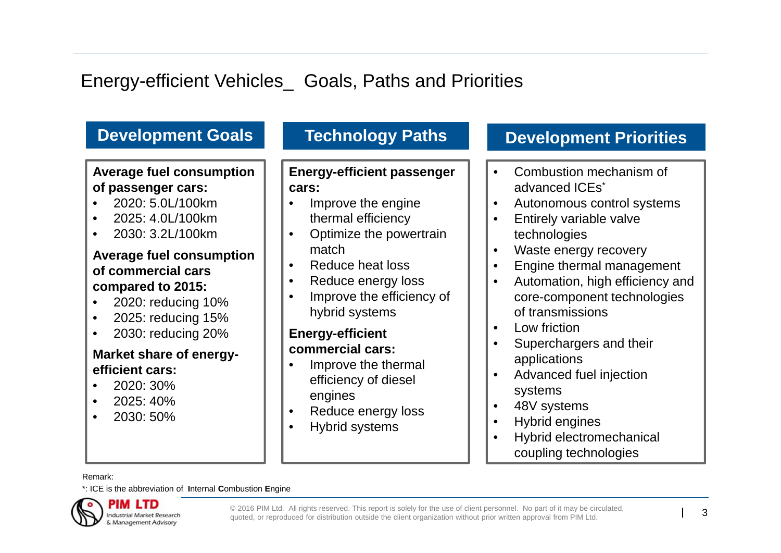## Energy-efficient Vehicles\_ Goals, Paths and Priorities

#### **Development Goals Average fuel consumption of passenger cars:** • 2020: 5.0L/100km• 2025: 4.0L/100km• 2030: 3.2L/100km**Average fuel consumption of commercial cars compared to 2015:** • 2020: reducing 10% • 2025: reducing 15% • 2030: reducing 20% **Market share of energyefficient cars:**• 2020: 30%• 2025: 40%•2030: 50%

**Technology Paths**

### **Energy-efficient passenger cars:**

- • Improve the engine thermal efficiency
- • Optimize the powertrain match
- •Reduce heat loss
- •Reduce energy loss
- • Improve the efficiency of hybrid systems

### **Energy-efficient commercial cars:**

- • Improve the thermal efficiency of diesel engines
- •Reduce energy loss
- •Hybrid systems

## **Development Priorities**

- • Combustion mechanism of advanced ICEs\*
- •Autonomous control systems
- • Entirely variable valve technologies
- •Waste energy recovery
- •Engine thermal management
- • Automation, high efficiency and core-component technologies of transmissions
- •Low friction
- • Superchargers and their applications
- • Advanced fuel injection systems
- •48V systems
- •Hybrid engines
- • Hybrid electromechanical coupling technologies

Remark:

\*: ICE is the abbreviation of **I**nternal **C**ombustion **E**ngine

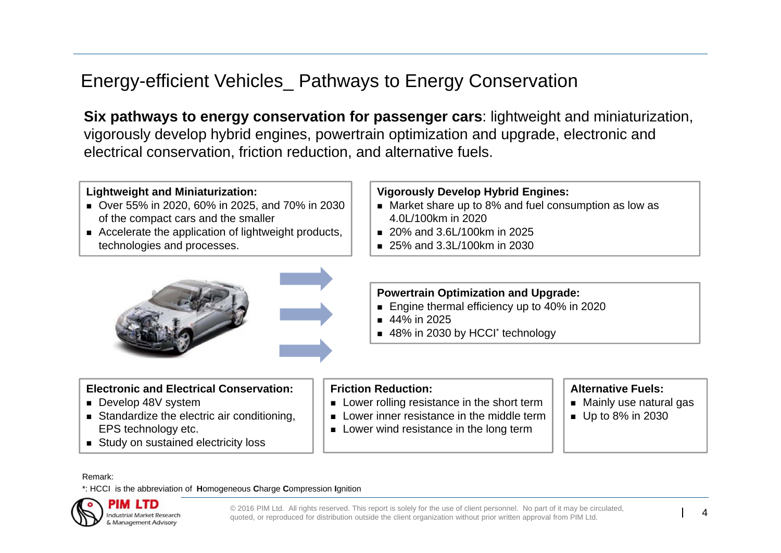Energy-efficient Vehicles\_ Pathways to Energy Conservation

**Six pathways to energy conservation for passenger cars**: lightweight and miniaturization, vigorously develop hybrid engines, powertrain optimization and upgrade, electronic and electrical conservation, friction reduction, and alternative fuels.

#### **Lightweight and Miniaturization:**

- Over 55% in 2020, 60% in 2025, and 70% in 2030 of the compact cars and the smaller
- Accelerate the application of lightweight products, technologies and processes.



#### **Vigorously Develop Hybrid Engines:**

- Market share up to 8% and fuel consumption as low as 4.0L/100km in 2020
- 20% and 3.6L/100km in 2025
- 25% and 3.3L/100km in 2030

#### **Powertrain Optimization and Upgrade:**

- Engine thermal efficiency up to 40% in 2020
- 44% in 2025
- 48% in 2030 by HCCI<sup>\*</sup> technology

#### **Electronic and Electrical Conservation:**

- **Develop 48V system**
- Standardize the electric air conditioning, EPS technology etc.
- **Study on sustained electricity loss**

#### **Friction Reduction:**

- **Lower rolling resistance in the short term**
- **Lower inner resistance in the middle term**
- **Lower wind resistance in the long term**

#### **Alternative Fuels:**

- Mainly use natural gas
- Up to 8% in 2030

Remark:

\*: HCCI is the abbreviation of **H**omogeneous **C**harge **C**ompression **I**gnition

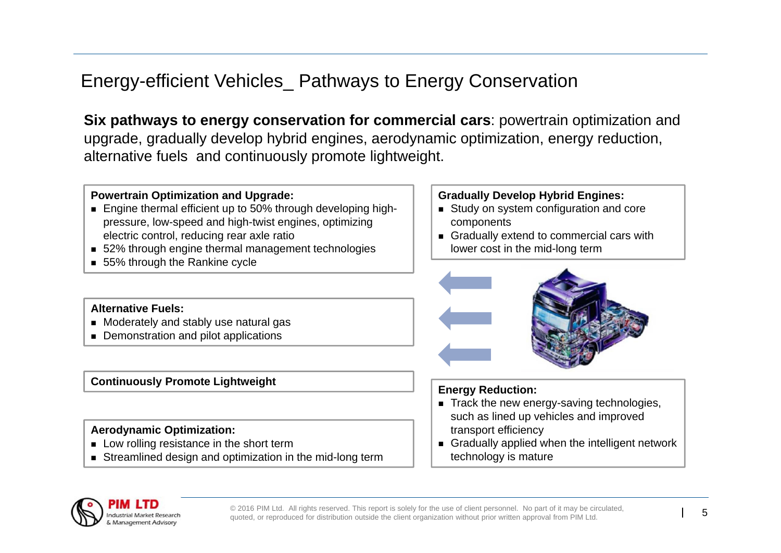Energy-efficient Vehicles\_ Pathways to Energy Conservation

**Six pathways to energy conservation for commercial cars: powertrain optimization and** upgrade, gradually develop hybrid engines, aerodynamic optimization, energy reduction, alternative fuels and continuously promote lightweight.

#### **Powertrain Optimization and Upgrade:**

- Engine thermal efficient up to 50% through developing highpressure, low-speed and high-twist engines, optimizing electric control, reducing rear axle ratio
- 52% through engine thermal management technologies
- 55% through the Rankine cycle

#### **Alternative Fuels:**

- Moderately and stably use natural gas
- **Demonstration and pilot applications**

#### **Continuously Promote Lightweight**

#### **Aerodynamic Optimization:**

- **Low rolling resistance in the short term**
- **Streamlined design and optimization in the mid-long term**

#### **Gradually Develop Hybrid Engines:**

- Study on system configuration and core components
- Gradually extend to commercial cars with lower cost in the mid-long term



#### **Energy Reduction:**

- Track the new energy-saving technologies, such as lined up vehicles and improved transport efficiency
- Gradually applied when the intelligent network technology is mature